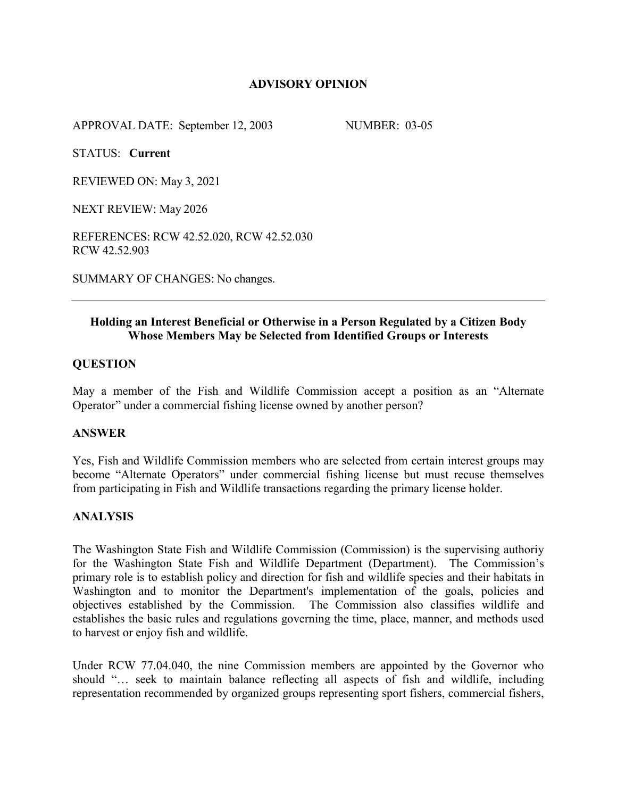# **ADVISORY OPINION**

APPROVAL DATE: September 12, 2003 NUMBER: 03-05

STATUS: **Current**

REVIEWED ON: May 3, 2021

NEXT REVIEW: May 2026

REFERENCES: RCW 42.52.020, RCW 42.52.030 RCW 42.52.903

SUMMARY OF CHANGES: No changes.

# **Holding an Interest Beneficial or Otherwise in a Person Regulated by a Citizen Body Whose Members May be Selected from Identified Groups or Interests**

#### **QUESTION**

May a member of the Fish and Wildlife Commission accept a position as an "Alternate Operator" under a commercial fishing license owned by another person?

#### **ANSWER**

Yes, Fish and Wildlife Commission members who are selected from certain interest groups may become "Alternate Operators" under commercial fishing license but must recuse themselves from participating in Fish and Wildlife transactions regarding the primary license holder.

### **ANALYSIS**

The Washington State Fish and Wildlife Commission (Commission) is the supervising authoriy for the Washington State Fish and Wildlife Department (Department). The Commission's primary role is to establish policy and direction for fish and wildlife species and their habitats in Washington and to monitor the Department's implementation of the goals, policies and objectives established by the Commission. The Commission also classifies wildlife and establishes the basic rules and regulations governing the time, place, manner, and methods used to harvest or enjoy fish and wildlife.

Under RCW 77.04.040, the nine Commission members are appointed by the Governor who should "… seek to maintain balance reflecting all aspects of fish and wildlife, including representation recommended by organized groups representing sport fishers, commercial fishers,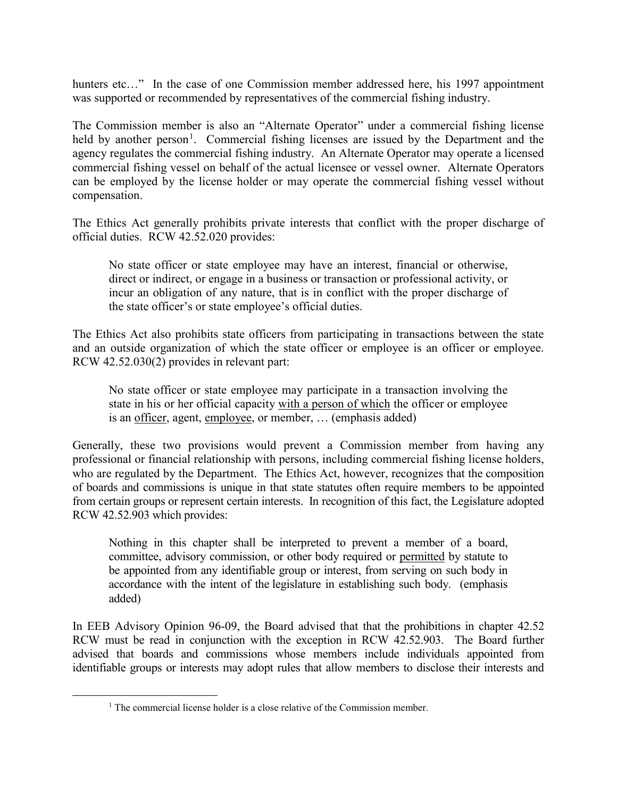hunters etc..." In the case of one Commission member addressed here, his 1997 appointment was supported or recommended by representatives of the commercial fishing industry.

The Commission member is also an "Alternate Operator" under a commercial fishing license held by another person<sup>[1](#page-1-0)</sup>. Commercial fishing licenses are issued by the Department and the agency regulates the commercial fishing industry. An Alternate Operator may operate a licensed commercial fishing vessel on behalf of the actual licensee or vessel owner. Alternate Operators can be employed by the license holder or may operate the commercial fishing vessel without compensation.

The Ethics Act generally prohibits private interests that conflict with the proper discharge of official duties. RCW 42.52.020 provides:

No state officer or state employee may have an interest, financial or otherwise, direct or indirect, or engage in a business or transaction or professional activity, or incur an obligation of any nature, that is in conflict with the proper discharge of the state officer's or state employee's official duties.

The Ethics Act also prohibits state officers from participating in transactions between the state and an outside organization of which the state officer or employee is an officer or employee. RCW 42.52.030(2) provides in relevant part:

No state officer or state employee may participate in a transaction involving the state in his or her official capacity with a person of which the officer or employee is an officer, agent, employee, or member, ... (emphasis added)

Generally, these two provisions would prevent a Commission member from having any professional or financial relationship with persons, including commercial fishing license holders, who are regulated by the Department. The Ethics Act, however, recognizes that the composition of boards and commissions is unique in that state statutes often require members to be appointed from certain groups or represent certain interests. In recognition of this fact, the Legislature adopted RCW 42.52.903 which provides:

Nothing in this chapter shall be interpreted to prevent a member of a board, committee, advisory commission, or other body required or permitted by statute to be appointed from any identifiable group or interest, from serving on such body in accordance with the intent of the legislature in establishing such body. (emphasis added)

In EEB Advisory Opinion 96-09, the Board advised that that the prohibitions in chapter 42.52 RCW must be read in conjunction with the exception in RCW 42.52.903. The Board further advised that boards and commissions whose members include individuals appointed from identifiable groups or interests may adopt rules that allow members to disclose their interests and

<span id="page-1-0"></span><sup>&</sup>lt;sup>1</sup> The commercial license holder is a close relative of the Commission member.